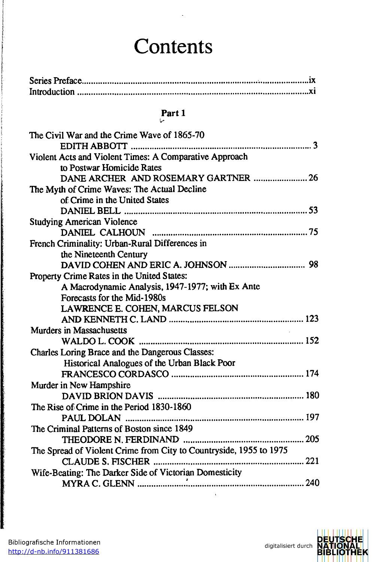## **Contents**

## **Parti**  t-

| The Civil War and the Crime Wave of 1865-70                        |
|--------------------------------------------------------------------|
|                                                                    |
| Violent Acts and Violent Times: A Comparative Approach             |
| to Postwar Homicide Rates                                          |
| DANE ARCHER AND ROSEMARY GARTNER  26                               |
| The Myth of Crime Waves: The Actual Decline                        |
| of Crime in the United States                                      |
|                                                                    |
| <b>Studying American Violence</b>                                  |
|                                                                    |
| French Criminality: Urban-Rural Differences in                     |
| the Nineteenth Century                                             |
|                                                                    |
| Property Crime Rates in the United States:                         |
| A Macrodynamic Analysis, 1947-1977; with Ex Ante                   |
| Forecasts for the Mid-1980s                                        |
| LAWRENCE E. COHEN, MARCUS FELSON                                   |
|                                                                    |
| <b>Murders in Massachusetts</b>                                    |
|                                                                    |
| Charles Loring Brace and the Dangerous Classes:                    |
| Historical Analogues of the Urban Black Poor                       |
|                                                                    |
| Murder in New Hampshire                                            |
|                                                                    |
| The Rise of Crime in the Period 1830-1860                          |
|                                                                    |
| The Criminal Patterns of Boston since 1849                         |
| 205<br>THEODORE N. FERDINAND                                       |
| The Spread of Violent Crime from City to Countryside, 1955 to 1975 |
|                                                                    |
| Wife-Beating: The Darker Side of Victorian Domesticity             |
|                                                                    |



electronical controls of the control of the control of the control of the control of the control of the control of the control of the control of the control of the control of the control of the control of the control of th

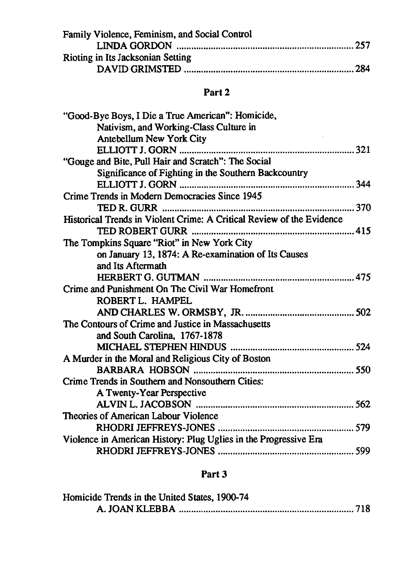| Family Violence, Feminism, and Social Control |  |
|-----------------------------------------------|--|
|                                               |  |
| Rioting in Its Jacksonian Setting             |  |
|                                               |  |

## **Part 2**

## **Part 3**

| Homicide Trends in the United States, 1900-74 |  |
|-----------------------------------------------|--|
|                                               |  |